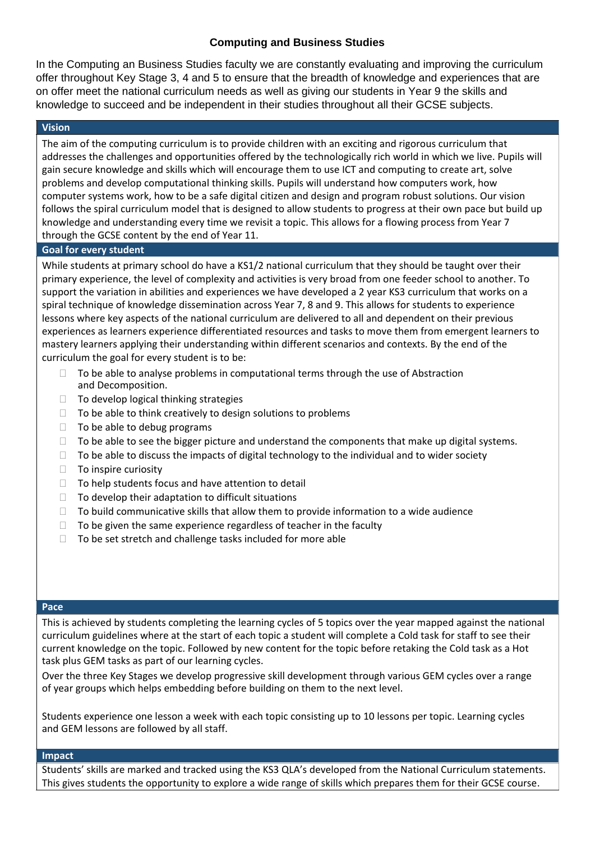## **Computing and Business Studies**

In the Computing an Business Studies faculty we are constantly evaluating and improving the curriculum offer throughout Key Stage 3, 4 and 5 to ensure that the breadth of knowledge and experiences that are on offer meet the national curriculum needs as well as giving our students in Year 9 the skills and knowledge to succeed and be independent in their studies throughout all their GCSE subjects.

## **Vision**

The aim of the computing curriculum is to provide children with an exciting and rigorous curriculum that addresses the challenges and opportunities offered by the technologically rich world in which we live. Pupils will gain secure knowledge and skills which will encourage them to use ICT and computing to create art, solve problems and develop computational thinking skills. Pupils will understand how computers work, how computer systems work, how to be a safe digital citizen and design and program robust solutions. Our vision follows the spiral curriculum model that is designed to allow students to progress at their own pace but build up knowledge and understanding every time we revisit a topic. This allows for a flowing process from Year 7 through the GCSE content by the end of Year 11.

### **Goal for every student**

While students at primary school do have a KS1/2 national curriculum that they should be taught over their primary experience, the level of complexity and activities is very broad from one feeder school to another. To support the variation in abilities and experiences we have developed a 2 year KS3 curriculum that works on a spiral technique of knowledge dissemination across Year 7, 8 and 9. This allows for students to experience lessons where key aspects of the national curriculum are delivered to all and dependent on their previous experiences as learners experience differentiated resources and tasks to move them from emergent learners to mastery learners applying their understanding within different scenarios and contexts. By the end of the curriculum the goal for every student is to be:

- To be able to analyse problems in computational terms through the use of Abstraction and Decomposition.
- $\Box$  To develop logical thinking strategies
- $\Box$  To be able to think creatively to design solutions to problems
- $\Box$  To be able to debug programs
- $\Box$  To be able to see the bigger picture and understand the components that make up digital systems.
- $\Box$  To be able to discuss the impacts of digital technology to the individual and to wider society
- $\Box$  To inspire curiosity
- $\Box$  To help students focus and have attention to detail
- $\Box$  To develop their adaptation to difficult situations
- $\Box$  To build communicative skills that allow them to provide information to a wide audience
- $\Box$  To be given the same experience regardless of teacher in the faculty
- $\Box$  To be set stretch and challenge tasks included for more able

### **Pace**

This is achieved by students completing the learning cycles of 5 topics over the year mapped against the national curriculum guidelines where at the start of each topic a student will complete a Cold task for staff to see their current knowledge on the topic. Followed by new content for the topic before retaking the Cold task as a Hot task plus GEM tasks as part of our learning cycles.

Over the three Key Stages we develop progressive skill development through various GEM cycles over a range of year groups which helps embedding before building on them to the next level.

Students experience one lesson a week with each topic consisting up to 10 lessons per topic. Learning cycles and GEM lessons are followed by all staff.

### **Impact**

Students' skills are marked and tracked using the KS3 QLA's developed from the National Curriculum statements. This gives students the opportunity to explore a wide range of skills which prepares them for their GCSE course.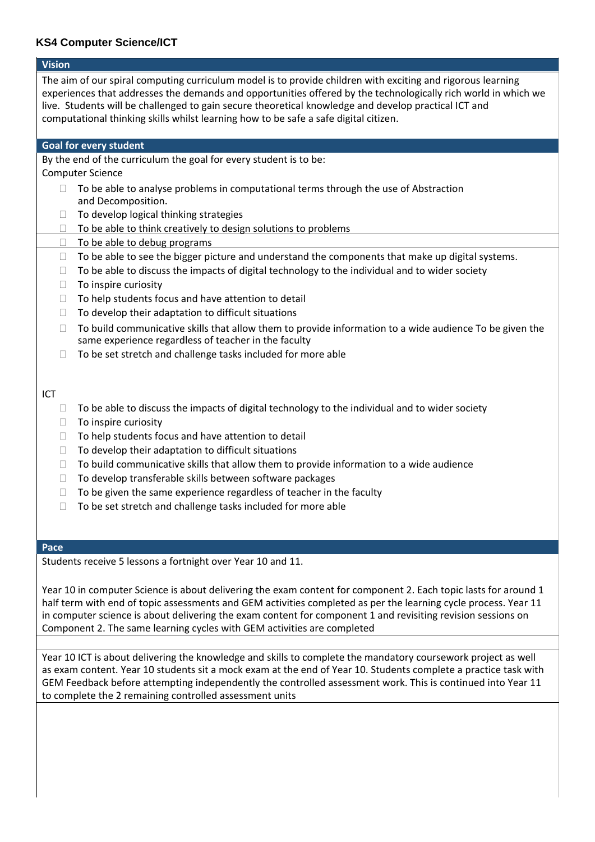# **KS4 Computer Science/ICT**

| <b>Vision</b>                                                                                                                                                                                                                                                                                                                                                                                                                 |
|-------------------------------------------------------------------------------------------------------------------------------------------------------------------------------------------------------------------------------------------------------------------------------------------------------------------------------------------------------------------------------------------------------------------------------|
| The aim of our spiral computing curriculum model is to provide children with exciting and rigorous learning<br>experiences that addresses the demands and opportunities offered by the technologically rich world in which we<br>live. Students will be challenged to gain secure theoretical knowledge and develop practical ICT and<br>computational thinking skills whilst learning how to be safe a safe digital citizen. |
| Goal for every student                                                                                                                                                                                                                                                                                                                                                                                                        |
| By the end of the curriculum the goal for every student is to be:                                                                                                                                                                                                                                                                                                                                                             |
| <b>Computer Science</b>                                                                                                                                                                                                                                                                                                                                                                                                       |
| To be able to analyse problems in computational terms through the use of Abstraction<br>$\Box$<br>and Decomposition.                                                                                                                                                                                                                                                                                                          |
| To develop logical thinking strategies<br>⊔                                                                                                                                                                                                                                                                                                                                                                                   |
| To be able to think creatively to design solutions to problems<br>Ш                                                                                                                                                                                                                                                                                                                                                           |
| To be able to debug programs<br>□                                                                                                                                                                                                                                                                                                                                                                                             |
| To be able to see the bigger picture and understand the components that make up digital systems.<br>Ш                                                                                                                                                                                                                                                                                                                         |
| To be able to discuss the impacts of digital technology to the individual and to wider society<br>$\Box$                                                                                                                                                                                                                                                                                                                      |
| To inspire curiosity<br>$\Box$<br>To help students focus and have attention to detail                                                                                                                                                                                                                                                                                                                                         |
| ⊔<br>To develop their adaptation to difficult situations<br>⊔                                                                                                                                                                                                                                                                                                                                                                 |
|                                                                                                                                                                                                                                                                                                                                                                                                                               |
| To build communicative skills that allow them to provide information to a wide audience To be given the<br>$\Box$<br>same experience regardless of teacher in the faculty                                                                                                                                                                                                                                                     |
| To be set stretch and challenge tasks included for more able<br>П                                                                                                                                                                                                                                                                                                                                                             |
| ICT                                                                                                                                                                                                                                                                                                                                                                                                                           |
| To be able to discuss the impacts of digital technology to the individual and to wider society<br>$\Box$<br>To inspire curiosity<br>$\Box$                                                                                                                                                                                                                                                                                    |
| To help students focus and have attention to detail<br>⊔                                                                                                                                                                                                                                                                                                                                                                      |
| To develop their adaptation to difficult situations<br>$\Box$                                                                                                                                                                                                                                                                                                                                                                 |
| To build communicative skills that allow them to provide information to a wide audience<br>П                                                                                                                                                                                                                                                                                                                                  |
| To develop transferable skills between software packages<br>⊔                                                                                                                                                                                                                                                                                                                                                                 |
| To be given the same experience regardless of teacher in the faculty<br>$\Box$                                                                                                                                                                                                                                                                                                                                                |
| To be set stretch and challenge tasks included for more able                                                                                                                                                                                                                                                                                                                                                                  |
|                                                                                                                                                                                                                                                                                                                                                                                                                               |
|                                                                                                                                                                                                                                                                                                                                                                                                                               |
| Pace                                                                                                                                                                                                                                                                                                                                                                                                                          |
| Students receive 5 lessons a fortnight over Year 10 and 11.                                                                                                                                                                                                                                                                                                                                                                   |
|                                                                                                                                                                                                                                                                                                                                                                                                                               |
| Year 10 in computer Science is about delivering the exam content for component 2. Each topic lasts for around 1                                                                                                                                                                                                                                                                                                               |
| half term with end of topic assessments and GEM activities completed as per the learning cycle process. Year 11                                                                                                                                                                                                                                                                                                               |

in computer science is about delivering the exam content for component 1 and revisiting revision sessions on Component 2. The same learning cycles with GEM activities are completed

Year 10 ICT is about delivering the knowledge and skills to complete the mandatory coursework project as well as exam content. Year 10 students sit a mock exam at the end of Year 10. Students complete a practice task with GEM Feedback before attempting independently the controlled assessment work. This is continued into Year 11 to complete the 2 remaining controlled assessment units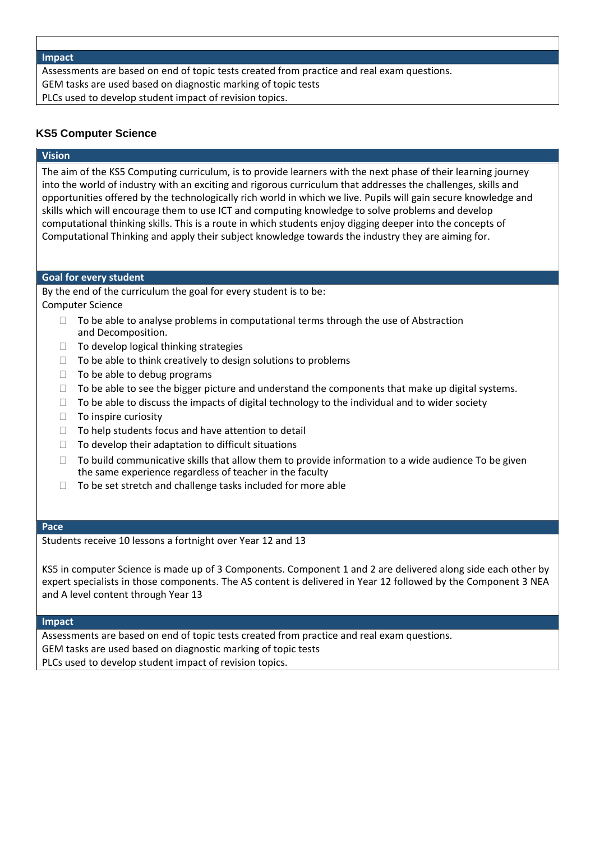### **Impact**

Assessments are based on end of topic tests created from practice and real exam questions. GEM tasks are used based on diagnostic marking of topic tests PLCs used to develop student impact of revision topics.

## **KS5 Computer Science**

## **Vision**

The aim of the KS5 Computing curriculum, is to provide learners with the next phase of their learning journey into the world of industry with an exciting and rigorous curriculum that addresses the challenges, skills and opportunities offered by the technologically rich world in which we live. Pupils will gain secure knowledge and skills which will encourage them to use ICT and computing knowledge to solve problems and develop computational thinking skills. This is a route in which students enjoy digging deeper into the concepts of Computational Thinking and apply their subject knowledge towards the industry they are aiming for.

### **Goal for every student**

By the end of the curriculum the goal for every student is to be: Computer Science

- $\Box$  To be able to analyse problems in computational terms through the use of Abstraction and Decomposition.
- $\Box$  To develop logical thinking strategies
- $\Box$  To be able to think creatively to design solutions to problems
- $\Box$  To be able to debug programs
- $\Box$  To be able to see the bigger picture and understand the components that make up digital systems.
- $\Box$  To be able to discuss the impacts of digital technology to the individual and to wider society
- $\Box$  To inspire curiosity
- $\Box$  To help students focus and have attention to detail
- $\Box$  To develop their adaptation to difficult situations
- $\Box$  To build communicative skills that allow them to provide information to a wide audience To be given the same experience regardless of teacher in the faculty
- $\Box$  To be set stretch and challenge tasks included for more able

### **Pace**

Students receive 10 lessons a fortnight over Year 12 and 13

KS5 in computer Science is made up of 3 Components. Component 1 and 2 are delivered along side each other by expert specialists in those components. The AS content is delivered in Year 12 followed by the Component 3 NEA and A level content through Year 13

#### **Impact**

Assessments are based on end of topic tests created from practice and real exam questions. GEM tasks are used based on diagnostic marking of topic tests PLCs used to develop student impact of revision topics.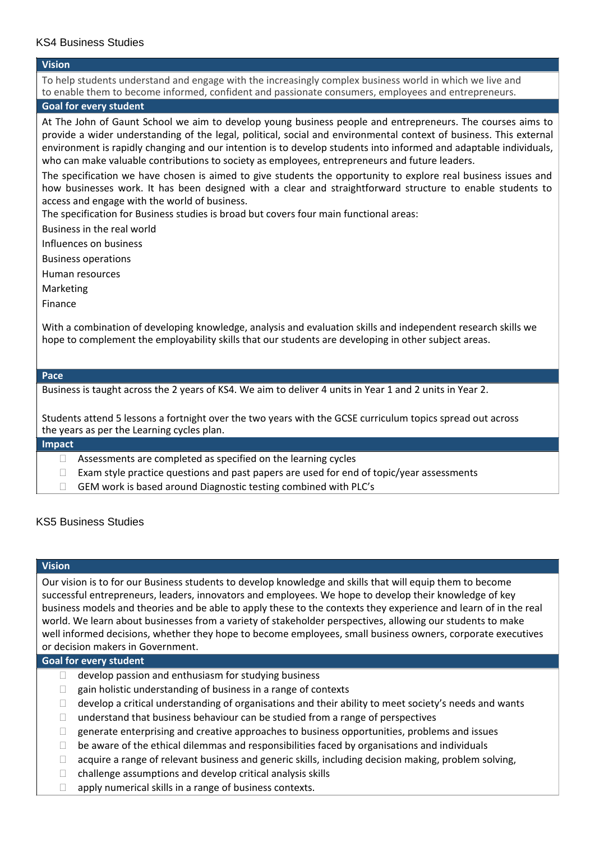## KS4 Business Studies

### **Vision**

To help students understand and engage with the increasingly complex business world in which we live and to enable them to become informed, confident and passionate consumers, employees and entrepreneurs.

## **Goal for every student**

At The John of Gaunt School we aim to develop young business people and entrepreneurs. The courses aims to provide a wider understanding of the legal, political, social and environmental context of business. This external environment is rapidly changing and our intention is to develop students into informed and adaptable individuals, who can make valuable contributions to society as employees, entrepreneurs and future leaders.

The specification we have chosen is aimed to give students the opportunity to explore real business issues and how businesses work. It has been designed with a clear and straightforward structure to enable students to access and engage with the world of business.

The specification for Business studies is broad but covers four main functional areas:

Business in the real world

Influences on business

Business operations

Human resources

Marketing

Finance

With a combination of developing knowledge, analysis and evaluation skills and independent research skills we hope to complement the employability skills that our students are developing in other subject areas.

### **Pace**

Business is taught across the 2 years of KS4. We aim to deliver 4 units in Year 1 and 2 units in Year 2.

Students attend 5 lessons a fortnight over the two years with the GCSE curriculum topics spread out across the years as per the Learning cycles plan.

### **Impact**

- $\Box$  Assessments are completed as specified on the learning cycles
- $\Box$  Exam style practice questions and past papers are used for end of topic/year assessments
- □ GEM work is based around Diagnostic testing combined with PLC's

## KS5 Business Studies

### **Vision**

Our vision is to for our Business students to develop knowledge and skills that will equip them to become successful entrepreneurs, leaders, innovators and employees. We hope to develop their knowledge of key business models and theories and be able to apply these to the contexts they experience and learn of in the real world. We learn about businesses from a variety of stakeholder perspectives, allowing our students to make well informed decisions, whether they hope to become employees, small business owners, corporate executives or decision makers in Government.

### **Goal for every student**

- $\Box$  develop passion and enthusiasm for studying business
- $\Box$  gain holistic understanding of business in a range of contexts
- $\Box$  develop a critical understanding of organisations and their ability to meet society's needs and wants
- $\Box$  understand that business behaviour can be studied from a range of perspectives
- $\Box$  generate enterprising and creative approaches to business opportunities, problems and issues
- $\Box$  be aware of the ethical dilemmas and responsibilities faced by organisations and individuals
- $\Box$  acquire a range of relevant business and generic skills, including decision making, problem solving,
- $\Box$  challenge assumptions and develop critical analysis skills
- $\Box$  apply numerical skills in a range of business contexts.